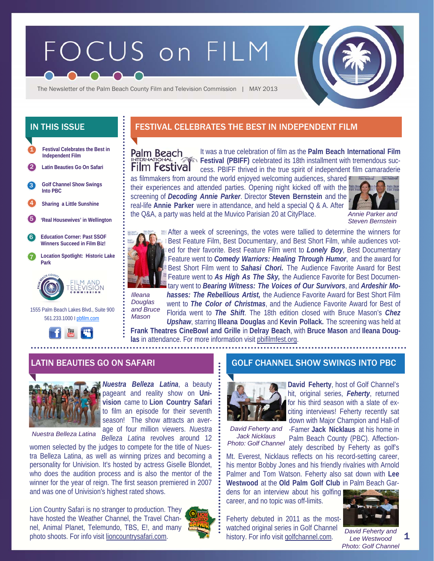# FOCUS on FILM



The Newsletter of the Palm Beach County Film and Television Commission | MAY 2013

- **Festival Celebrates the Best in Independent Film**  1 2 **Latin Beauties Go On Safari**
- **Golf Channel Show Swings Into PBC**  3
- 4 **Sharing a Little Sunshine**
- 5 **'Real Housewives' in Wellington**
- 6 **Education Corner: Past SSOF Winners Succeed in Film Biz!**
- 7 **Location Spotlight: Historic Lake Park**



 1555 Palm Beach Lakes Blvd., Suite 900 561.233.1000 I pbfilm.com



# IN THIS ISSUE FESTIVAL CELEBRATES THE BEST IN INDEPENDENT FILM

It was a true celebration of film as the **Palm Beach International Film Palm Beach Festival (PBIFF)** celebrated its 18th installment with tremendous suc-**Film Festival** cess. PBIFF thrived in the true spirit of independent film camaraderie

as filmmakers from around the world enjoyed welcoming audiences, shared their experiences and attended parties. Opening night kicked off with the screening of *Decoding Annie Parker*. Director **Steven Bernstein** and the real-life **Annie Parker** were in attendance, and held a special Q & A. After the Q&A, a party was held at the Muvico Parisian 20 at CityPlace.



*Annie Parker and Steven Bernstein* 



After a week of screenings, the votes were tallied to determine the winners for Best Feature Film, Best Documentary, and Best Short Film, while audiences voted for their favorite. Best Feature Film went to *Lonely Boy*, Best Documentary Feature went to *Comedy Warriors: Healing Through Humor*, and the award for Best Short Film went to *Sahasi Chori.* The Audience Favorite Award for Best Feature went to *As High As The Sky,* the Audience Favorite for Best Documentary went to *Bearing Witness: The Voices of Our Survivors*, and *Ardeshir Mohasses: The Rebellious Artist,* the Audience Favorite Award for Best Short Film

*Illeana Douglas and Bruce Mason* 

went to *The Color of Christmas*, and the Audience Favorite Award for Best of Florida went to *The Shift*. The 18th edition closed with Bruce Mason's *Chez Upshaw*, starring **Illeana Douglas** and **Kevin Pollack.** The screening was held at

**Frank Theatres CineBowl and Grille** in **Delray Beach**, with **Bruce Mason** and **Ileana Douglas** in attendance. For more information visit pbifilmfest.org.



*Nuestra Belleza Latina* 

*Nuestra Belleza Latina*, a beauty pageant and reality show on **Univision** came to **Lion Country Safari**  to film an episode for their seventh season! The show attracts an average of four million viewers. *Nuestra Belleza Latina* revolves around 12

women selected by the judges to compete for the title of Nues-

tra Belleza Latina, as well as winning prizes and becoming a personality for Univision. It's hosted by actress Giselle Blondet, who does the audition process and is also the mentor of the winner for the year of reign. The first season premiered in 2007 and was one of Univision's highest rated shows.

Lion Country Safari is no stranger to production. They have hosted the Weather Channel, the Travel Channel, Animal Planet, Telemundo, TBS, E!, and many photo shoots. For info visit lioncountrysafari.com.



## LATIN BEAUTIES GO ON SAFARI GOLF CHANNEL SHOW SWINGS INTO PBC



**David Feherty**, host of Golf Channel's hit, original series, *Feherty*, returned for his third season with a slate of exciting interviews! Feherty recently sat down with Major Champion and Hall-of

*David Feherty and Jack Nicklaus Photo: Golf Channel* 

-Famer **Jack Nicklaus** at his home in Palm Beach County (PBC). Affectionately described by Feherty as golf's

Mt. Everest, Nicklaus reflects on his record-setting career, his mentor Bobby Jones and his friendly rivalries with Arnold Palmer and Tom Watson. Feherty also sat down with **Lee Westwood** at the **Old Palm Golf Club** in Palm Beach Gar-

dens for an interview about his golfing career, and no topic was off-limits.

Feherty debuted in 2011 as the mostwatched original series in Golf Channel history. For info visit golfchannel.com.



1 *David Feherty and Lee Westwood Photo: Golf Channel*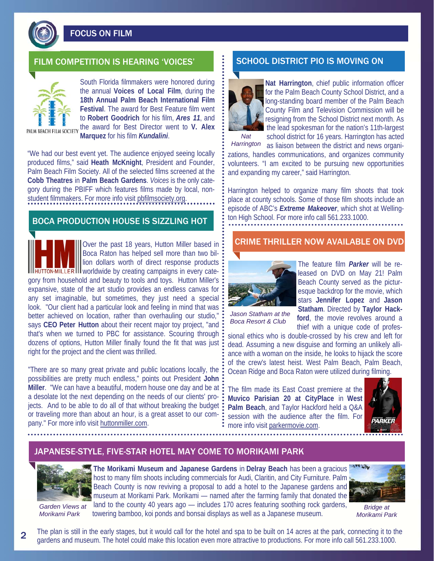

FOCUS ON FILM

# FILM COMPETITION IS HEARING 'VOICES' FILM SCHOOL DISTRICT PIO IS MOVING ON



South Florida filmmakers were honored during the annual **Voices of Local Film**, during the **18th Annual Palm Beach International Film Festival**. The award for Best Feature film went to **Robert Goodrich** for his film, *Ares 11*, and the award for Best Director went to **V. Alex Marquez** for his film *Kundalini*.

"We had our best event yet. The audience enjoyed seeing locally produced films," said **Heath McKnight**, President and Founder, Palm Beach Film Society. All of the selected films screened at the **Cobb Theatres** in **Palm Beach Gardens**. *Voices* is the only category during the PBIFF which features films made by local, nonstudent filmmakers. For more info visit pbfilmsociety.org.

# BOCA PRODUCTION HOUSE IS SIZZLING HOT

Over the past 18 years, Hutton Miller based in Boca Raton has helped sell more than two billion dollars worth of direct response products Ill**HUTTON MILLER III** worldwide by creating campaigns in every category from household and beauty to tools and toys. Hutton Miller's expansive, state of the art studio provides an endless canvas for any set imaginable, but sometimes, they just need a special look. "Our client had a particular look and feeling in mind that was better achieved on location, rather than overhauling our studio," says **CEO Peter Hutton** about their recent major toy project, "and that's when we turned to PBC for assistance. Scouring through dozens of options, Hutton Miller finally found the fit that was just right for the project and the client was thrilled.

"There are so many great private and public locations locally, the possibilities are pretty much endless," points out President **John Miller**. "We can have a beautiful, modern house one day and be at a desolate lot the next depending on the needs of our clients' projects. And to be able to do all of that without breaking the budget or traveling more than about an hour, is a great asset to our company." For more info visit huttonmiller.com.



**Nat Harrington**, chief public information officer for the Palm Beach County School District, and a long-standing board member of the Palm Beach County Film and Television Commission will be resigning from the School District next month. As the lead spokesman for the nation's 11th-largest

school district for 16 years. Harrington has acted as liaison between the district and news organizations, handles communications, and organizes community volunteers. "I am excited to be pursuing new opportunities and expanding my career," said Harrington. *Nat Harrington* 

Harrington helped to organize many film shoots that took place at county schools. Some of those film shoots include an episode of ABC's *Extreme Makeover*, which shot at Wellington High School. For more info call 561.233.1000.

## CRIME THRILLER NOW AVAILABLE ON DVD



The feature film *Parker* will be released on DVD on May 21! Palm Beach County served as the picturesque backdrop for the movie, which stars **Jennifer Lopez** and **Jason Statham**. Directed by **Taylor Hackford**, the movie revolves around a thief with a unique code of profes-

*Jason Statham at the Boca Resort & Club* 

sional ethics who is double-crossed by his crew and left for dead. Assuming a new disguise and forming an unlikely alliance with a woman on the inside, he looks to hijack the score of the crew's latest heist. West Palm Beach, Palm Beach, Ocean Ridge and Boca Raton were utilized during filming.

The film made its East Coast premiere at the **Muvico Parisian 20 at CityPlace** in **West Palm Beach**, and Taylor Hackford held a Q&A session with the audience after the film. For more info visit parkermovie.com.



## JAPANESE-STYLE, FIVE-STAR HOTEL MAY COME TO MORIKAMI PARK



**The Morikami Museum and Japanese Gardens** in **Delray Beach** has been a gracious host to many film shoots including commercials for Audi, Claritin, and City Furniture. Palm Beach County is now reviving a proposal to add a hotel to the Japanese gardens and museum at Morikami Park. Morikami — named after the farming family that donated the land to the county 40 years ago — includes 170 acres featuring soothing rock gardens, towering bamboo, koi ponds and bonsai displays as well as a Japanese museum.



*Bridge at Morikami Park* 

*Garden Views at Morikami Park* 

2

The plan is still in the early stages, but it would call for the hotel and spa to be built on 14 acres at the park, connecting it to the gardens and museum. The hotel could make this location even more attractive to productions. For more info call 561.233.1000.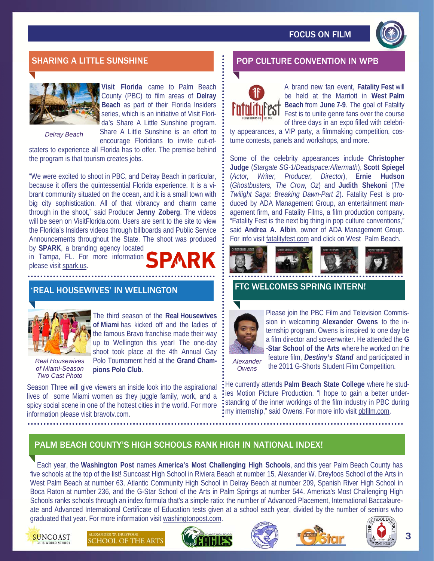



**Visit Florida** came to Palm Beach County (PBC) to film areas of **Delray Beach** as part of their Florida Insiders series, which is an initiative of Visit Florida's Share A Little Sunshine program.

*Delray Beach* 

Share A Little Sunshine is an effort to encourage Floridians to invite out-of-

staters to experience all Florida has to offer. The premise behind the program is that tourism creates jobs.

"We were excited to shoot in PBC, and Delray Beach in particular, because it offers the quintessential Florida experience. It is a vibrant community situated on the ocean, and it is a small town with big city sophistication. All of that vibrancy and charm came through in the shoot," said Producer **Jenny Zoberg**. The videos will be seen on VisitFlorida.com. Users are sent to the site to view the Florida's Insiders videos through billboards and Public Service Announcements throughout the State. The shoot was produced by **SPARK**, a branding agency located

in Tampa, FL. For more information please visit spark.us.

# 'REAL HOUSEWIVES' IN WELLINGTON



The third season of the **Real Housewives of Miami** has kicked off and the ladies of the famous Bravo franchise made their way up to Wellington this year! The one-day shoot took place at the 4th Annual Gay Polo Tournament held at the **Grand Cham-**

*Real Housewives of Miami-Season Two Cast Photo* 

**pions Polo Club**.

Season Three will give viewers an inside look into the aspirational lives of some Miami women as they juggle family, work, and a spicy social scene in one of the hottest cities in the world. For more information please visit bravotv.com.

# SHARING A LITTLE SUNSHINE **A LITTLE SUNSHINE A LITTLE CONVENTION** IN WPB



A brand new fan event, **Fatality Fest** will be held at the Marriott in **West Palm Beach** from **June 7-9**. The goal of Fatality Fest is to unite genre fans over the course of three days in an expo filled with celebri-

ty appearances, a VIP party, a filmmaking competition, costume contests, panels and workshops, and more.

Some of the celebrity appearances include **Christopher Judge** (*Stargate SG-1/Deadspace:Aftermath*), **Scott Spiegel**  (*Actor, Writer, Producer, Director*), **Ernie Hudson** (*Ghostbusters, The Crow, Oz*) and **Judith Shekoni** (*The Twilight Saga: Breaking Dawn-Part 2*). Fatality Fest is produced by ADA Management Group, an entertainment management firm, and Fatality Films, a film production company. "Fatality Fest is the next big thing in pop culture conventions," said **Andrea A. Albin**, owner of ADA Management Group. For info visit fatalityfest.com and click on West Palm Beach.



## FTC WELCOMES SPRING INTERN!



Please join the PBC Film and Television Commission in welcoming **Alexander Owens** to the internship program. Owens is inspired to one day be a film director and screenwriter. He attended the **G -Star School of the Arts** where he worked on the feature film, *Destiny's Stand* and participated in

*Alexander Owens* 

the 2011 G-Shorts Student Film Competition.

He currently attends **Palm Beach State College** where he studies Motion Picture Production. "I hope to gain a better understanding of the inner workings of the film industry in PBC during my internship," said Owens. For more info visit pbfilm.com.

# PALM BEACH COUNTY'S HIGH SCHOOLS RANK HIGH IN NATIONAL INDEX!

Each year, the **Washington Post** names **America's Most Challenging High Schools**, and this year Palm Beach County has five schools at the top of the list! Suncoast High School in Riviera Beach at number 15, Alexander W. Dreyfoos School of the Arts in West Palm Beach at number 63, Atlantic Community High School in Delray Beach at number 209, Spanish River High School in Boca Raton at number 236, and the G-Star School of the Arts in Palm Springs at number 544. America's Most Challenging High Schools ranks schools through an index formula that's a simple ratio: the number of Advanced Placement, International Baccalaureate and Advanced International Certificate of Education tests given at a school each year, divided by the number of seniors who graduated that year. For more information visit washingtonpost.com.